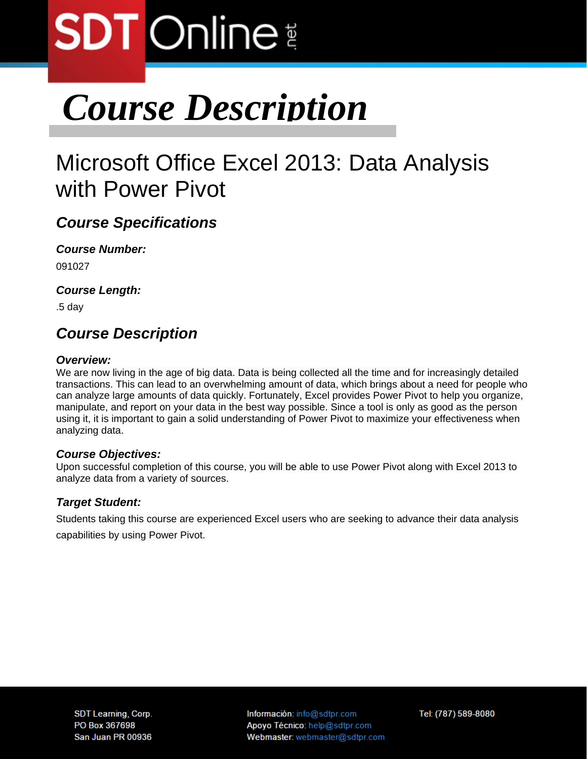# **SDT** Online

# *Course Description*

# Microsoft Office Excel 2013: Data Analysis with Power Pivot

### *Course Specifications*

*Course Number:*  091027

*Course Length:* 

.5 day

### *Course Description*

### *Overview:*

We are now living in the age of big data. Data is being collected all the time and for increasingly detailed transactions. This can lead to an overwhelming amount of data, which brings about a need for people who can analyze large amounts of data quickly. Fortunately, Excel provides Power Pivot to help you organize, manipulate, and report on your data in the best way possible. Since a tool is only as good as the person using it, it is important to gain a solid understanding of Power Pivot to maximize your effectiveness when analyzing data.

### *Course Objectives:*

Upon successful completion of this course, you will be able to use Power Pivot along with Excel 2013 to analyze data from a variety of sources.

### *Target Student:*

Students taking this course are experienced Excel users who are seeking to advance their data analysis capabilities by using Power Pivot.

Información: info@sdtpr.com Apoyo Técnico: help@sdtpr.com Webmaster: webmaster@sdtpr.com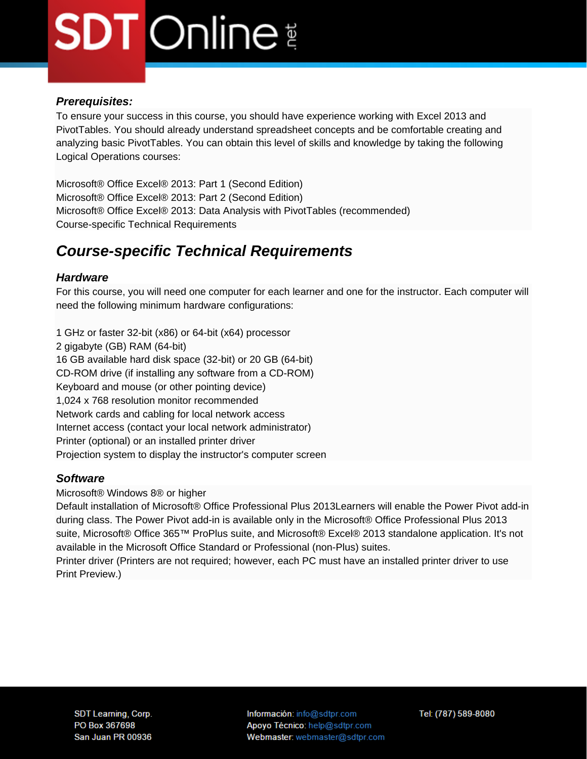# **SDT** Online

#### *Prerequisites:*

To ensure your success in this course, you should have experience working with Excel 2013 and PivotTables. You should already understand spreadsheet concepts and be comfortable creating and analyzing basic PivotTables. You can obtain this level of skills and knowledge by taking the following Logical Operations courses:

Microsoft® Office Excel® 2013: Part 1 (Second Edition) Microsoft® Office Excel® 2013: Part 2 (Second Edition) Microsoft® Office Excel® 2013: Data Analysis with PivotTables (recommended) Course-specific Technical Requirements

## *Course-specific Technical Requirements*

### *Hardware*

For this course, you will need one computer for each learner and one for the instructor. Each computer will need the following minimum hardware configurations:

1 GHz or faster 32-bit (x86) or 64-bit (x64) processor 2 gigabyte (GB) RAM (64-bit) 16 GB available hard disk space (32-bit) or 20 GB (64-bit) CD-ROM drive (if installing any software from a CD-ROM) Keyboard and mouse (or other pointing device) 1,024 x 768 resolution monitor recommended Network cards and cabling for local network access Internet access (contact your local network administrator) Printer (optional) or an installed printer driver Projection system to display the instructor's computer screen

#### *Software*

Microsoft® Windows 8® or higher

Default installation of Microsoft® Office Professional Plus 2013Learners will enable the Power Pivot add-in during class. The Power Pivot add-in is available only in the Microsoft® Office Professional Plus 2013 suite, Microsoft® Office 365™ ProPlus suite, and Microsoft® Excel® 2013 standalone application. It's not available in the Microsoft Office Standard or Professional (non-Plus) suites.

Printer driver (Printers are not required; however, each PC must have an installed printer driver to use Print Preview.)

Información: info@sdtpr.com Apoyo Técnico: help@sdtpr.com Webmaster: webmaster@sdtpr.com